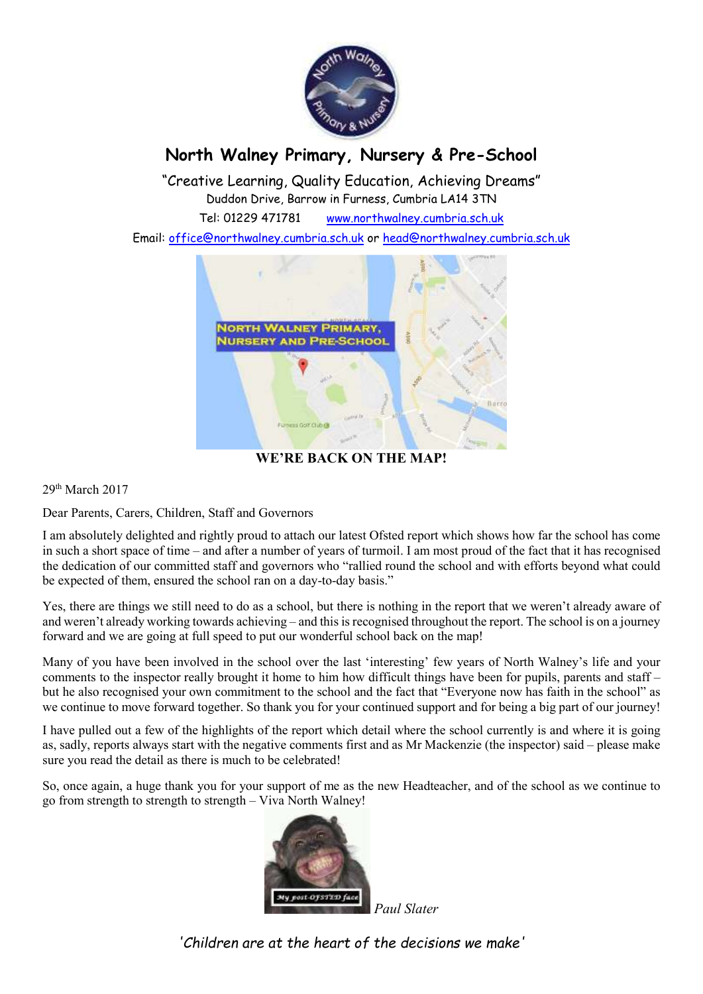

## **North Walney Primary, Nursery & Pre-School**

"Creative Learning, Quality Education, Achieving Dreams" Duddon Drive, Barrow in Furness, Cumbria LA14 3TN

Tel: 01229 471781 www.northwalney.cumbria.sch.uk

Email: office@northwalney.cumbria.sch.uk or head@northwalney.cumbria.sch.uk



**WE'RE BACK ON THE MAP!** 

29th March 2017

Dear Parents, Carers, Children, Staff and Governors

I am absolutely delighted and rightly proud to attach our latest Ofsted report which shows how far the school has come in such a short space of time – and after a number of years of turmoil. I am most proud of the fact that it has recognised the dedication of our committed staff and governors who "rallied round the school and with efforts beyond what could be expected of them, ensured the school ran on a day-to-day basis."

Yes, there are things we still need to do as a school, but there is nothing in the report that we weren't already aware of and weren't already working towards achieving – and this is recognised throughout the report. The school is on a journey forward and we are going at full speed to put our wonderful school back on the map!

Many of you have been involved in the school over the last 'interesting' few years of North Walney's life and your comments to the inspector really brought it home to him how difficult things have been for pupils, parents and staff – but he also recognised your own commitment to the school and the fact that "Everyone now has faith in the school" as we continue to move forward together. So thank you for your continued support and for being a big part of our journey!

I have pulled out a few of the highlights of the report which detail where the school currently is and where it is going as, sadly, reports always start with the negative comments first and as Mr Mackenzie (the inspector) said – please make sure you read the detail as there is much to be celebrated!

So, once again, a huge thank you for your support of me as the new Headteacher, and of the school as we continue to go from strength to strength to strength – Viva North Walney!



*Paul Slater* 

*'Children are at the heart of the decisions we make'*